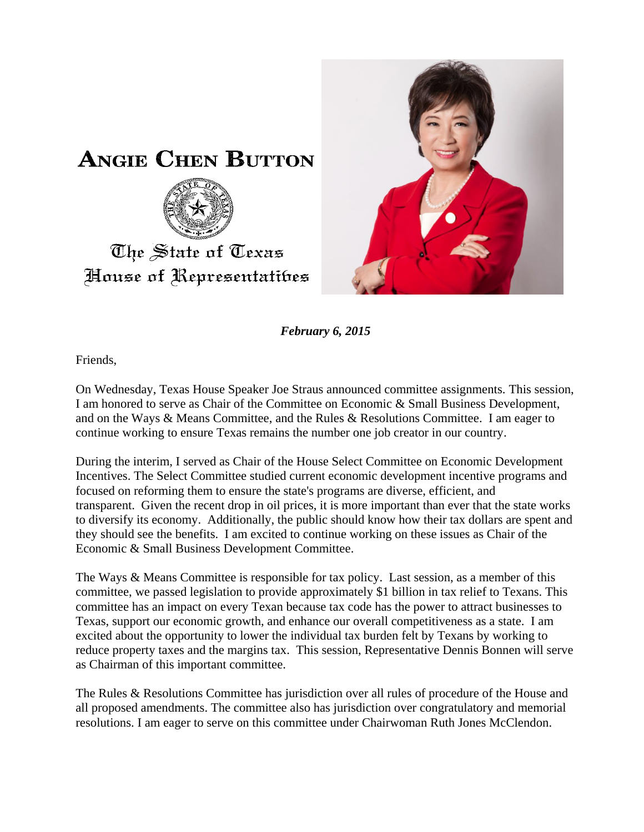



*February 6, 2015*

Friends,

On Wednesday, Texas House Speaker Joe Straus announced committee assignments. This session, I am honored to serve as Chair of the Committee on Economic & Small Business Development, and on the Ways & Means Committee, and the Rules & Resolutions Committee. I am eager to continue working to ensure Texas remains the number one job creator in our country.

During the interim, I served as Chair of the House Select Committee on Economic Development Incentives. The Select Committee studied current economic development incentive programs and focused on reforming them to ensure the state's programs are diverse, efficient, and transparent. Given the recent drop in oil prices, it is more important than ever that the state works to diversify its economy. Additionally, the public should know how their tax dollars are spent and they should see the benefits. I am excited to continue working on these issues as Chair of the Economic & Small Business Development Committee.

The Ways & Means Committee is responsible for tax policy. Last session, as a member of this committee, we passed legislation to provide approximately \$1 billion in tax relief to Texans. This committee has an impact on every Texan because tax code has the power to attract businesses to Texas, support our economic growth, and enhance our overall competitiveness as a state. I am excited about the opportunity to lower the individual tax burden felt by Texans by working to reduce property taxes and the margins tax. This session, Representative Dennis Bonnen will serve as Chairman of this important committee.

The Rules & Resolutions Committee has jurisdiction over all rules of procedure of the House and all proposed amendments. The committee also has jurisdiction over congratulatory and memorial resolutions. I am eager to serve on this committee under Chairwoman Ruth Jones McClendon.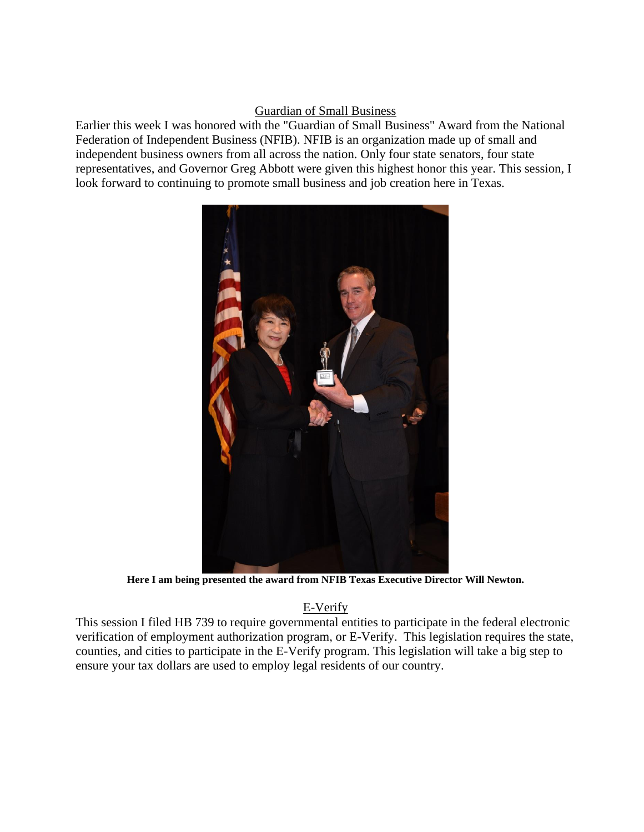## Guardian of Small Business

Earlier this week I was honored with the "Guardian of Small Business" Award from the National Federation of Independent Business (NFIB). NFIB is an organization made up of small and independent business owners from all across the nation. Only four state senators, four state representatives, and Governor Greg Abbott were given this highest honor this year. This session, I look forward to continuing to promote small business and job creation here in Texas.



**Here I am being presented the award from NFIB Texas Executive Director Will Newton.**

## E-Verify

This session I filed HB 739 to require governmental entities to participate in the federal electronic verification of employment authorization program, or E-Verify. This legislation requires the state, counties, and cities to participate in the E-Verify program. This legislation will take a big step to ensure your tax dollars are used to employ legal residents of our country.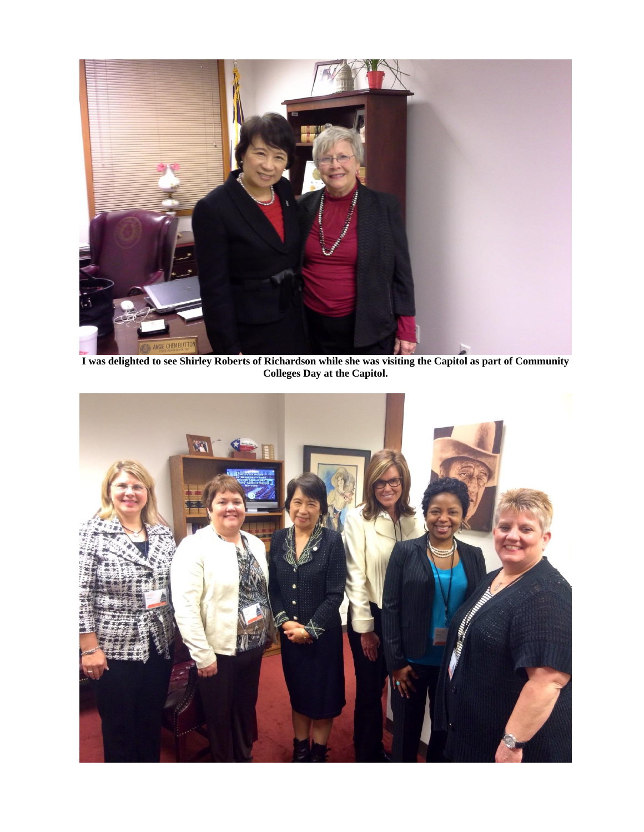

**I was delighted to see Shirley Roberts of Richardson while she was visiting the Capitol as part of Community Colleges Day at the Capitol.**